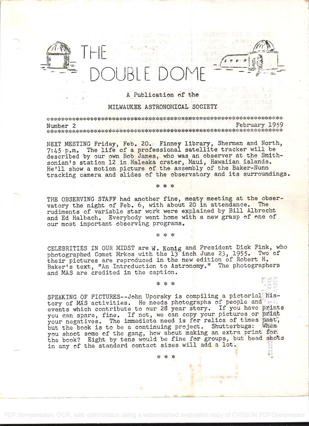

## A Publication of the

 $\frac{1}{2}$  . The state of  $\frac{1}{2}$ 

## MILWAUKEE ASTRONOMICAL SOCIETY

Number 2 February 1959 - .I. .j\_ 4 .. J\_ .. ø» 4 ' s'-A. .I. ...S.'..J. . ,. .., ' .. - . . . '- . ' ' )\_\_.\_\_\_\_ \_\_'\_\_l\_ \_\_\_\_I' --.--.--\$.r.-,').- -'

NEXT MEETING Friday, Feb. 20. Finney library, Sherman and North, 7:45 p.m. The life of a professional satellite tracker will be described by oür own Bob James, who was an,observer at the Smithsonian's station 12 in Haleaka crater, Maui, Hawaiian islands. He'll show a motion picture of the assembly of the Baker-Nunn tracking camera and slides of the observatory and its surroundings.

\* \* \*

THE OBSERVING STAFF had another fine, meaty meeting at the observatory the night of Feb. 6, with about 20 in attendance. The rudiments of variable star work were explained by and Ed Halbach. Everybody went home with a new grasp of one of our most important observing programs.

 $* * *$ 

CELEBRITIES IN OUR MIDST are W. Konig and President Dick Fink, who photographed Comet Mrkos with the 13 inch June 23, 1955. Two of their pictures are reproduced in the new edition of Robert H. Baker's text, "An Introduction to Astronomy." The photographers and MAS are credited in the caption.

## \* \* \*

SPEAKING OF PICTURES--John Uporsky is compiling a pictorial history of MAS activities. He needs photographs of people and events which contribute to our 28 year story. If you have prints you can spare, fine. If not, we can copy your pictures or print your negatives. The immediate need is for relics of times past, but the book is to be a continuing project. Shutterbugs: When you shoot some of the gang, how about making an extra print for the book? Eight by tens would be fine for groups, but head shots in any of the standard contact sizes will add a lot.

\*\*\*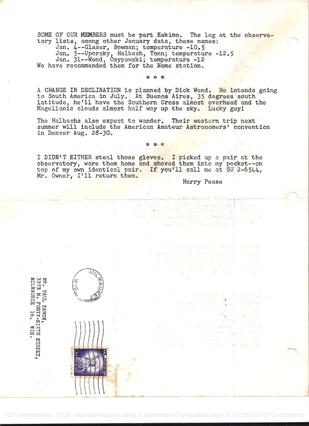SOME OF OUR MEMBERS must be part Eskimo. The log at the observatory lists, among other January data, these names:

Jan. 4--Glaser, Bowman; temperature -10.5

Jan. 5--Uporsky, Halbach, Tonn; temperature -12.5

Jan. 31--Wend, Osypowski; temperature -12 We have recommended. them for the Nome station.

A CHANGE IN DECLINATION is planned by Dick Wend. He intends going to South America in July. At Buenos Aires, 35 degrees south latitude, he'll have the Southern Cross almost overhead and the Magellanic clouds almost half way up the sky. Lucky guyl

The Halbachs also expect to wander. Their western trip next summer will include the American Amateur Astronomers' convention in Denver Aug. 28-30.

\* \*. \*

I DIDN'T EITHER steal those gloves. I picked up a pair at the observatory, wore them home and shoved them into my pocket--on top of my own identical pair. If you'll call me at SU 2-6544, Mr. Owner, I'll return them.

Harry Pease

sidde film is the "n share with with

ma Philip Roomet Fall NAME AND DESCRIPTIONS

TA TAL A

a thug Mon this sinkner is at - and dues windows: The seaties

 $\label{eq:3.1} \frac{\partial}{\partial x} \left[ \frac{\partial \phi}{\partial x} \right] \left[ \frac{\partial \phi}{\partial x} \right] = - \frac{2\alpha}{\alpha} \exp \left[ - \frac{\partial \phi}{\partial x} \right] \,.$ 

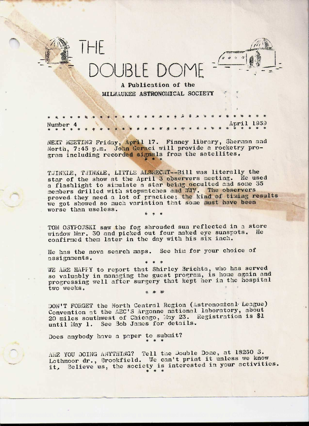

A Publication of the MILWAUKEE ASTRONOMICAL SOCIETY

NEXT MEETING Friday, April 17. Finney library, Sherman and North, 7:45 p.m. John Geraci will provide a rocketry program including recorded signals from the satellites.

TWINKLE, TWINKLE, LITTLE ALBRECHT--Bill was literally the star of the show at the April 3 observers meeting. He used a flashlight to simulate a star being occulted and some 35 members drilled with stopwatches and WWV. The observers proved they need a lot of practice; the kind of timing results we got showed so much variation that some must have been worse than useless.

TOM OSYFOWSKI saw the fog shrouded sun reflected in a store window Mar. 30 and picked out four naked eye sunspots. He confirmed them later in the day with his six inch.

He has the nova search maps. See him for your choice of assignments.

WE ARE HAFFY to report that Shirley Brichta, who has served so valuably in managing the guest program, is home again and progressing well after surgery that kept her in the hospital two weeks.

DON'T FORGET the North Central Region (Astronomical League) Convention at the AEC'S Argonne national laboratory, about 20 miles southwest of Chicago, May 23. Registration is \$1 until May 1. See Bob James for details.

Does anybody have a paper to submit?

ARE YOU DOING ANYTHING? Tell the Double Dome, at 18260 S.<br>Lothmoor dr., Brookfield. We can't print it unless we know it. Believe us, the society is interested in your activities.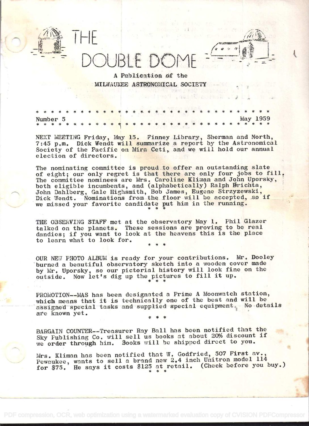A Publication of the MILWAUKEE ASTRONOMICAL SOCIETY

**SEARCH SEARCH** 

**May 1959** Number 5

NEXT MEETING Friday, May 15. Finney Library, Sherman and North,<br>7:45 p.m. Dick Wendt will summarize a report by the Astronomical Society of the Pacific on Mira Ceti, and we will hold our annual election of directors.

The nominating committee is proud to offer an outstanding slate of eight; our only regret is that there are only four jobs to fill. The committee nominees are Mrs. Caroline Kliman and John Uporsky,<br>both eligible incumbents, and (alphabetically) Ralph Brichta, John Dahlberg, Gale Highsmith, Bob James, Eugene Strzyzewski, Dick Wendt. Nominations from the floor will be accepted, so if we missed your favorite candidate put him in the running.

THE OBSERVING STAFF met at the observatory May 1. Phil Glazer talked on the planets. These sessions are proving to be real dandies; if you want to look at the heavens this is the place to learn what to look for.

OUR NEW PHOTO ALBUM is ready for your contributions. Mr. Dooley burned a beautiful observatory sketch into a wooden cover made by Mr. Uporsky, so our pictorial history will look fine on the Now let's dig up the pictures to fill it up. outside.

PROMOTION--MAS has been designated a Prime A Moonwatch station, which means that it is technically one of the best and will be assigned special tasks and supplied special equipment No-details are known yet.

BARGAIN COUNTER--Treasurer Ray Ball has been notified that the Sky Fublishing Co. will sell us books at about 20% discount if we order through him. Books will be shipped direct to you.

Mrs. Kliman has been notified that W. Godfried, 507 First av., Pewaukee, wants to sell a brand new 2.4 inch Unitron model 114 for \$75. He says it costs \$125 at retail. (Check before you buy.)